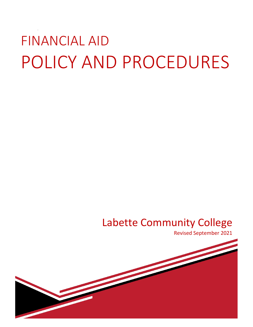# FINANCIAL AID POLICY AND PROCEDURES

# Labette Community College

Revised September 2021

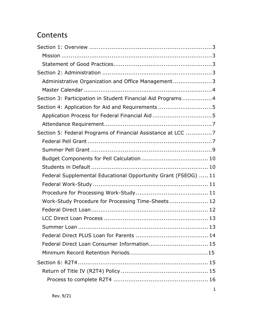# **Contents**

| Administrative Organization and Office Management3             |  |
|----------------------------------------------------------------|--|
|                                                                |  |
| Section 3: Participation in Student Financial Aid Programs4    |  |
| Section 4: Application for Aid and Requirements 5              |  |
| Application Process for Federal Financial Aid 5                |  |
|                                                                |  |
| Section 5: Federal Programs of Financial Assistance at LCC 7   |  |
|                                                                |  |
|                                                                |  |
|                                                                |  |
|                                                                |  |
| Federal Supplemental Educational Opportunity Grant (FSEOG)  11 |  |
|                                                                |  |
|                                                                |  |
| Work-Study Procedure for Processing Time-Sheets 12             |  |
|                                                                |  |
|                                                                |  |
|                                                                |  |
|                                                                |  |
| Federal Direct Loan Consumer Information 15                    |  |
|                                                                |  |
|                                                                |  |
|                                                                |  |
|                                                                |  |
|                                                                |  |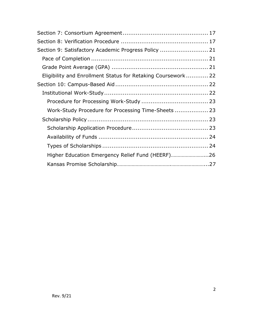| Section 9: Satisfactory Academic Progress Policy  21         |  |
|--------------------------------------------------------------|--|
|                                                              |  |
|                                                              |  |
| Eligibility and Enrollment Status for Retaking Coursework 22 |  |
|                                                              |  |
|                                                              |  |
|                                                              |  |
| Work-Study Procedure for Processing Time-Sheets  23          |  |
|                                                              |  |
|                                                              |  |
|                                                              |  |
|                                                              |  |
| Higher Education Emergency Relief Fund (HEERF)26             |  |
|                                                              |  |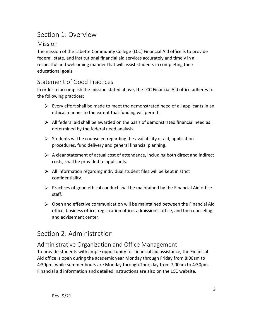# Section 1: Overview

## Mission

The mission of the Labette Community College (LCC) Financial Aid office is to provide federal, state, and institutional financial aid services accurately and timely in a respectful and welcoming manner that will assist students in completing their educational goals.

#### Statement of Good Practices

In order to accomplish the mission stated above, the LCC Financial Aid office adheres to the following practices:

- $\triangleright$  Every effort shall be made to meet the demonstrated need of all applicants in an ethical manner to the extent that funding will permit.
- $\triangleright$  All federal aid shall be awarded on the basis of demonstrated financial need as determined by the federal need analysis.
- $\triangleright$  Students will be counseled regarding the availability of aid, application procedures, fund delivery and general financial planning.
- $\triangleright$  A clear statement of actual cost of attendance, including both direct and indirect costs, shall be provided to applicants.
- $\triangleright$  All information regarding individual student files will be kept in strict confidentiality.
- $\triangleright$  Practices of good ethical conduct shall be maintained by the Financial Aid office staff.
- $\triangleright$  Open and effective communication will be maintained between the Financial Aid office, business office, registration office, admission's office, and the counseling and advisement center.

# Section 2: Administration

## Administrative Organization and Office Management

To provide students with ample opportunity for financial aid assistance, the Financial Aid office is open during the academic year Monday through Friday from 8:00am to 4:30pm, while summer hours are Monday through Thursday from 7:00am to 4:30pm. Financial aid information and detailed instructions are also on the LCC website.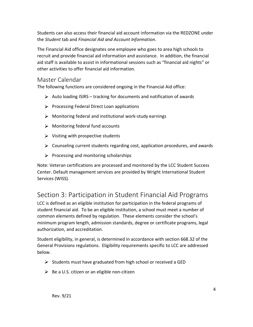Students can also access their financial aid account information via the REDZONE under the *Student* tab and *Financial Aid and Account Information*.

The Financial Aid office designates one employee who goes to area high schools to recruit and provide financial aid information and assistance. In addition, the financial aid staff is available to assist in informational sessions such as "financial aid nights" or other activities to offer financial aid information.

#### Master Calendar

The following functions are considered ongoing in the Financial Aid office:

- $\triangleright$  Auto loading ISIRS tracking for documents and notification of awards
- $\triangleright$  Processing Federal Direct Loan applications
- $\triangleright$  Monitoring federal and institutional work-study earnings
- $\triangleright$  Monitoring federal fund accounts
- $\triangleright$  Visiting with prospective students
- $\triangleright$  Counseling current students regarding cost, application procedures, and awards
- $\triangleright$  Processing and monitoring scholarships

Note: Veteran certifications are processed and monitored by the LCC Student Success Center. Default management services are provided by Wright International Student Services (WISS).

# Section 3: Participation in Student Financial Aid Programs

LCC is defined as an eligible institution for participation in the federal programs of student financial aid. To be an eligible institution, a school must meet a number of common elements defined by regulation. These elements consider the school's minimum program length, admission standards, degree or certificate programs, legal authorization, and accreditation.

Student eligibility, in general, is determined in accordance with section 668.32 of the General Provisions regulations. Eligibility requirements specific to LCC are addressed below.

- $\triangleright$  Students must have graduated from high school or received a GED
- $\triangleright$  Be a U.S. citizen or an eligible non-citizen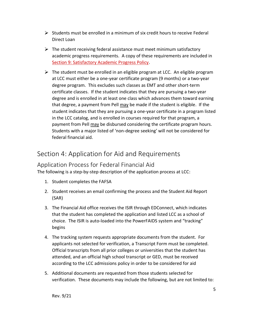- $\triangleright$  Students must be enrolled in a minimum of six credit hours to receive Federal Direct Loan
- $\triangleright$  The student receiving federal assistance must meet minimum satisfactory academic progress requirements. A copy of these requirements are included in Section 9: Satisfactory Academic Progress Policy.
- $\triangleright$  The student must be enrolled in an eligible program at LCC. An eligible program at LCC must either be a one-year certificate program (9 months) or a two-year degree program. This excludes such classes as EMT and other short-term certificate classes. If the student indicates that they are pursuing a two-year degree and is enrolled in at least one class which advances them toward earning that degree, a payment from Pell may be made if the student is eligible. If the student indicates that they are pursuing a one-year certificate in a program listed in the LCC catalog, and is enrolled in courses required for that program, a payment from Pell may be disbursed considering the certificate program hours. Students with a major listed of 'non-degree seeking' will not be considered for federal financial aid.

# Section 4: Application for Aid and Requirements

## Application Process for Federal Financial Aid

The following is a step-by-step description of the application process at LCC:

- 1. Student completes the FAFSA
- 2. Student receives an email confirming the process and the Student Aid Report (SAR)
- 3. The Financial Aid office receives the ISIR through EDConnect, which indicates that the student has completed the application and listed LCC as a school of choice. The ISIR is auto-loaded into the PowerFAIDS system and "tracking" begins
- 4. The tracking system requests appropriate documents from the student. For applicants not selected for verification, a Transcript Form must be completed. Official transcripts from all prior colleges or universities that the student has attended, and an official high school transcript or GED, must be received according to the LCC admissions policy in order to be considered for aid
- 5. Additional documents are requested from those students selected for verification. These documents may include the following, but are not limited to: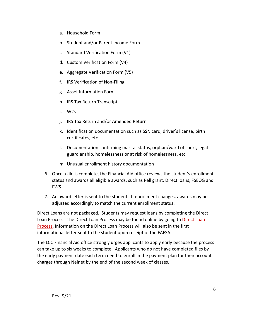- a. Household Form
- b. Student and/or Parent Income Form
- c. Standard Verification Form (V1)
- d. Custom Verification Form (V4)
- e. Aggregate Verification Form (V5)
- f. IRS Verification of Non-Filing
- g. Asset Information Form
- h. IRS Tax Return Transcript
- i. W2s
- j. IRS Tax Return and/or Amended Return
- k. Identification documentation such as SSN card, driver's license, birth certificates, etc.
- l. Documentation confirming marital status, orphan/ward of court, legal guardianship, homelessness or at risk of homelessness, etc.
- m. Unusual enrollment history documentation
- 6. Once a file is complete, the Financial Aid office reviews the student's enrollment status and awards all eligible awards, such as Pell grant, Direct loans, FSEOG and FWS.
- 7. An award letter is sent to the student. If enrollment changes, awards may be adjusted accordingly to match the current enrollment status.

Direct Loans are not packaged. Students may request loans by completing the Direct Loan Process. The Direct Loan Process may be found online by going to Direct Loan Process. Information on the Direct Loan Process will also be sent in the first informational letter sent to the student upon receipt of the FAFSA.

The LCC Financial Aid office strongly urges applicants to apply early because the process can take up to six weeks to complete. Applicants who do not have completed files by the early payment date each term need to enroll in the payment plan for their account charges through Nelnet by the end of the second week of classes.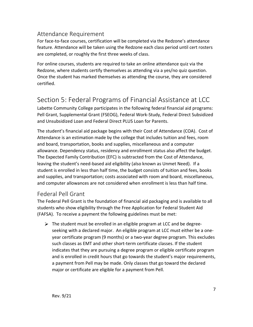## Attendance Requirement

For face-to-face courses, certification will be completed via the Redzone's attendance feature. Attendance will be taken using the Redzone each class period until cert rosters are completed, or roughly the first three weeks of class.

For online courses, students are required to take an online attendance quiz via the Redzone, where students certify themselves as attending via a yes/no quiz question. Once the student has marked themselves as attending the course, they are considered certified.

# Section 5: Federal Programs of Financial Assistance at LCC

Labette Community College participates in the following federal financial aid programs: Pell Grant, Supplemental Grant (FSEOG), Federal Work-Study, Federal Direct Subsidized and Unsubsidized Loan and Federal Direct PLUS Loan for Parents.

The student's financial aid package begins with their Cost of Attendance (COA). Cost of Attendance is an estimation made by the college that includes tuition and fees, room and board, transportation, books and supplies, miscellaneous and a computer allowance. Dependency status, residency and enrollment status also affect the budget. The Expected Family Contribution (EFC) is subtracted from the Cost of Attendance, leaving the student's need-based aid eligibility (also known as Unmet Need). If a student is enrolled in less than half time, the budget consists of tuition and fees, books and supplies, and transportation; costs associated with room and board, miscellaneous, and computer allowances are not considered when enrollment is less than half time.

## Federal Pell Grant

The Federal Pell Grant is the foundation of financial aid packaging and is available to all students who show eligibility through the Free Application for Federal Student Aid (FAFSA). To receive a payment the following guidelines must be met:

 $\triangleright$  The student must be enrolled in an eligible program at LCC and be degreeseeking with a declared major. An eligible program at LCC must either be a oneyear certificate program (9 months) or a two-year degree program. This excludes such classes as EMT and other short-term certificate classes. If the student indicates that they are pursuing a degree program or eligible certificate program and is enrolled in credit hours that go towards the student's major requirements, a payment from Pell may be made. Only classes that go toward the declared major or certificate are eligible for a payment from Pell.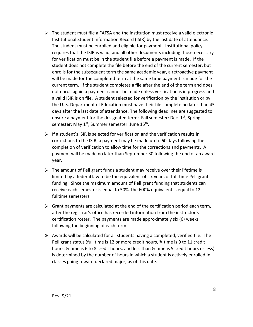- $\triangleright$  The student must file a FAFSA and the institution must receive a valid electronic Institutional Student Information Record (ISIR) by the last date of attendance. The student must be enrolled and eligible for payment. Institutional policy requires that the ISIR is valid, and all other documents including those necessary for verification must be in the student file before a payment is made. If the student does not complete the file before the end of the current semester, but enrolls for the subsequent term the same academic year, a retroactive payment will be made for the completed term at the same time payment is made for the current term. If the student completes a file after the end of the term and does not enroll again a payment cannot be made unless verification is in progress and a valid ISIR is on file. A student selected for verification by the institution or by the U. S. Department of Education must have their file complete no later than 45 days after the last date of attendance. The following deadlines are suggested to ensure a payment for the designated term: Fall semester: Dec.  $1^{st}$ ; Spring semester: May 1<sup>st</sup>; Summer semester: June 15<sup>th</sup>.
- $\triangleright$  If a student's ISIR is selected for verification and the verification results in corrections to the ISIR, a payment may be made up to 60 days following the completion of verification to allow time for the corrections and payments. A payment will be made no later than September 30 following the end of an award year.
- $\triangleright$  The amount of Pell grant funds a student may receive over their lifetime is limited by a federal law to be the equivalent of six years of full-time Pell grant funding. Since the maximum amount of Pell grant funding that students can receive each semester is equal to 50%, the 600% equivalent is equal to 12 fulltime semesters.
- $\triangleright$  Grant payments are calculated at the end of the certification period each term, after the registrar's office has recorded information from the instructor's certification roster. The payments are made approximately six (6) weeks following the beginning of each term.
- $\triangleright$  Awards will be calculated for all students having a completed, verified file. The Pell grant status (full time is 12 or more credit hours, ¾ time is 9 to 11 credit hours, ½ time is 6 to 8 credit hours, and less than ½ time is 5 credit hours or less) is determined by the number of hours in which a student is actively enrolled in classes going toward declared major, as of this date.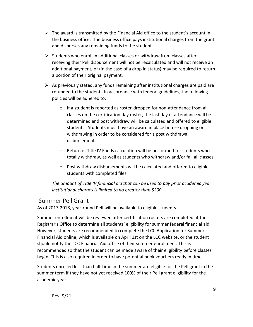- $\triangleright$  The award is transmitted by the Financial Aid office to the student's account in the business office. The business office pays institutional charges from the grant and disburses any remaining funds to the student.
- $\triangleright$  Students who enroll in additional classes or withdraw from classes after receiving their Pell disbursement will not be recalculated and will not receive an additional payment, or (in the case of a drop in status) may be required to return a portion of their original payment.
- $\triangleright$  As previously stated, any funds remaining after institutional charges are paid are refunded to the student. In accordance with federal guidelines, the following policies will be adhered to:
	- $\circ$  If a student is reported as roster-dropped for non-attendance from all classes on the certification day roster, the last day of attendance will be determined and post withdraw will be calculated and offered to eligible students. Students must have an award in place before dropping or withdrawing in order to be considered for a post withdrawal disbursement.
	- $\circ$  Return of Title IV Funds calculation will be performed for students who totally withdraw, as well as students who withdraw and/or fail all classes.
	- o Post withdraw disbursements will be calculated and offered to eligible students with completed files.

*The amount of Title IV financial aid that can be used to pay prior academic year institutional charges is limited to no greater than \$200.*

#### Summer Pell Grant

As of 2017-2018, year-round Pell will be available to eligible students.

Summer enrollment will be reviewed after certification rosters are completed at the Registrar's Office to determine all students' eligibility for summer federal financial aid. However, students are recommended to complete the LCC Application for Summer Financial Aid online, which is available on April 1st on the LCC website, or the student should notify the LCC Financial Aid office of their summer enrollment. This is recommended so that the student can be made aware of their eligibility before classes begin. This is also required in order to have potential book vouchers ready in time.

Students enrolled less than half-time in the summer are eligible for the Pell grant in the summer term if they have not yet received 100% of their Pell grant eligibility for the academic year.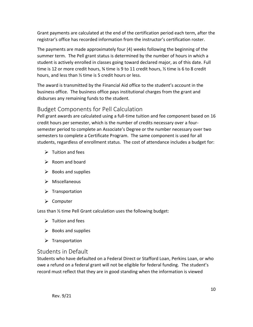Grant payments are calculated at the end of the certification period each term, after the registrar's office has recorded information from the instructor's certification roster.

The payments are made approximately four (4) weeks following the beginning of the summer term. The Pell grant status is determined by the number of hours in which a student is actively enrolled in classes going toward declared major, as of this date. Full time is 12 or more credit hours,  $\frac{3}{4}$  time is 9 to 11 credit hours,  $\frac{1}{2}$  time is 6 to 8 credit hours, and less than ½ time is 5 credit hours or less.

The award is transmitted by the Financial Aid office to the student's account in the business office. The business office pays institutional charges from the grant and disburses any remaining funds to the student.

## Budget Components for Pell Calculation

Pell grant awards are calculated using a full-time tuition and fee component based on 16 credit hours per semester, which is the number of credits necessary over a foursemester period to complete an Associate's Degree or the number necessary over two semesters to complete a Certificate Program. The same component is used for all students, regardless of enrollment status. The cost of attendance includes a budget for:

- $\triangleright$  Tuition and fees
- $\triangleright$  Room and board
- $\triangleright$  Books and supplies
- $\triangleright$  Miscellaneous
- $\triangleright$  Transportation
- **≻** Computer

Less than ½ time Pell Grant calculation uses the following budget:

- $\triangleright$  Tuition and fees
- $\triangleright$  Books and supplies
- $\triangleright$  Transportation

## Students in Default

Students who have defaulted on a Federal Direct or Stafford Loan, Perkins Loan, or who owe a refund on a federal grant will not be eligible for federal funding. The student's record must reflect that they are in good standing when the information is viewed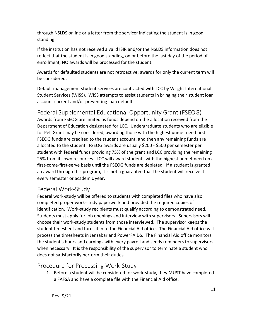through NSLDS online or a letter from the servicer indicating the student is in good standing.

If the institution has not received a valid ISIR and/or the NSLDS information does not reflect that the student is in good standing, on or before the last day of the period of enrollment, NO awards will be processed for the student.

Awards for defaulted students are not retroactive; awards for only the current term will be considered.

Default management student services are contracted with LCC by Wright International Student Services (WISS). WISS attempts to assist students in bringing their student loan account current and/or preventing loan default.

Federal Supplemental Educational Opportunity Grant (FSEOG) Awards from FSEOG are limited as funds depend on the allocation received from the Department of Education designated for LCC. Undergraduate students who are eligible for Pell Grant may be considered, awarding those with the highest unmet need first. FSEOG funds are credited to the student account, and then any remaining funds are allocated to the student. FSEOG awards are usually \$200 - \$500 per semester per student with federal funds providing 75% of the grant and LCC providing the remaining 25% from its own resources. LCC will award students with the highest unmet need on a first-come-first-serve basis until the FSEOG funds are depleted. If a student is granted an award through this program, it is not a guarantee that the student will receive it every semester or academic year.

## Federal Work-Study

Federal work-study will be offered to students with completed files who have also completed proper work-study paperwork and provided the required copies of identification. Work-study recipients must qualify according to demonstrated need. Students must apply for job openings and interview with supervisors. Supervisors will choose their work-study students from those interviewed. The supervisor keeps the student timesheet and turns it in to the Financial Aid office. The Financial Aid office will process the timesheets in Jenzabar and PowerFAIDS. The Financial Aid office monitors the student's hours and earnings with every payroll and sends reminders to supervisors when necessary. It is the responsibility of the supervisor to terminate a student who does not satisfactorily perform their duties.

## Procedure for Processing Work-Study

1. Before a student will be considered for work-study, they MUST have completed a FAFSA and have a complete file with the Financial Aid office.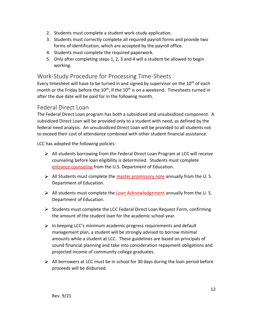- 2. Students must complete a student work-study application.
- 3. Students must correctly complete all required payroll forms and provide two forms of identification, which are accepted by the payroll office.
- 4. Students must complete the required paperwork.
- 5. Only after completing steps 1, 2, 3 and 4 will a student be allowed to begin working.

#### Work-Study Procedure for Processing Time-Sheets

Every timesheet will have to be turned in and signed by supervisor on the  $10<sup>th</sup>$  of each month or the Friday before the  $10<sup>th</sup>$ , if the  $10<sup>th</sup>$  is on a weekend. Timesheets turned in after the due date will be paid for in the following month.

#### Federal Direct Loan

The Federal Direct Loan program has both a subsidized and unsubsidized component. A subsidized Direct Loan will be provided only to a student with need, as defined by the federal need analysis. An unsubsidized Direct Loan will be provided to all students not to exceed their cost of attendance combined with other student financial assistance.

LCC has adopted the following policies:

- $\triangleright$  All students borrowing from the Federal Direct Loan Program at LCC will receive counseling before loan eligibility is determined. Students must complete [entrance counseling](https://studentloans.gov/myDirectLoan/index.action) from the U.S. Department of Education.
- $\triangleright$  All Students must complete the [master promissory note](https://studentloans.gov/myDirectLoan/index.action) annually from the U.S. Department of Education.
- All students must complete the [Loan Acknowledgement](https://studentloans.gov/myDirectLoan/index.action) annually from the U.S. Department of Education.
- $\triangleright$  Students must complete the LCC Federal Direct Loan Request Form, confirming the amount of the student loan for the academic school year.
- $\triangleright$  In keeping LCC's minimum academic progress requirements and default management plan, a student will be strongly advised to borrow minimal amounts while a student at LCC. These guidelines are based on principals of sound financial planning and take into consideration repayment obligations and projected income of community college graduates.
- $\triangleright$  All borrowers at LCC must be in school for 30 days during the loan period before proceeds will be disbursed.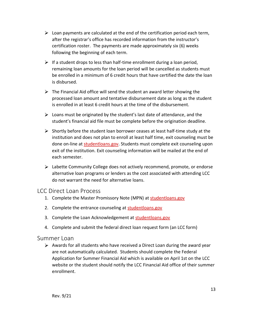- $\triangleright$  Loan payments are calculated at the end of the certification period each term, after the registrar's office has recorded information from the instructor's certification roster. The payments are made approximately six (6) weeks following the beginning of each term.
- $\triangleright$  If a student drops to less than half-time enrollment during a loan period, remaining loan amounts for the loan period will be cancelled as students must be enrolled in a minimum of 6 credit hours that have certified the date the loan is disbursed.
- $\triangleright$  The Financial Aid office will send the student an award letter showing the processed loan amount and tentative disbursement date as long as the student is enrolled in at least 6 credit hours at the time of the disbursement.
- $\triangleright$  Loans must be originated by the student's last date of attendance, and the student's financial aid file must be complete before the origination deadline.
- $\triangleright$  Shortly before the student loan borrower ceases at least half-time study at the institution and does not plan to enroll at least half time, exit counseling must be done on-line at [studentloans.gov.](https://studentloans.gov/myDirectLoan/index.action) Students must complete exit counseling upon exit of the institution. Exit counseling information will be mailed at the end of each semester.
- $\triangleright$  Labette Community College does not actively recommend, promote, or endorse alternative loan programs or lenders as the cost associated with attending LCC do not warrant the need for alternative loans.

#### LCC Direct Loan Process

- 1. Complete the Master Promissory Note (MPN) at [studentloans.gov](https://studentloans.gov/myDirectLoan/index.action)
- 2. Complete the entrance counseling at [studentloans.gov](https://studentloans.gov/myDirectLoan/index.action)
- 3. Complete the Loan Acknowledgement at [studentloans.gov](https://studentloans.gov/myDirectLoan/index.action)
- 4. Complete and submit the federal direct loan request form (an LCC form)

#### Summer Loan

 $\triangleright$  Awards for all students who have received a Direct Loan during the award year are not automatically calculated. Students should complete the Federal Application for Summer Financial Aid which is available on April 1st on the LCC website or the student should notify the LCC Financial Aid office of their summer enrollment.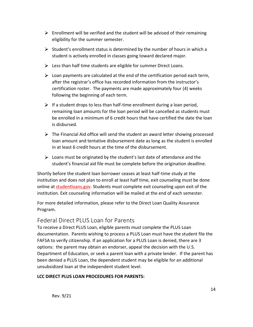- $\triangleright$  Enrollment will be verified and the student will be advised of their remaining eligibility for the summer semester.
- $\triangleright$  Student's enrollment status is determined by the number of hours in which a student is actively enrolled in classes going toward declared major.
- $\triangleright$  Less than half time students are eligible for summer Direct Loans.
- $\triangleright$  Loan payments are calculated at the end of the certification period each term, after the registrar's office has recorded information from the instructor's certification roster. The payments are made approximately four (4) weeks following the beginning of each term.
- $\triangleright$  If a student drops to less than half-time enrollment during a loan period, remaining loan amounts for the loan period will be cancelled as students must be enrolled in a minimum of 6 credit hours that have certified the date the loan is disbursed.
- $\triangleright$  The Financial Aid office will send the student an award letter showing processed loan amount and tentative disbursement date as long as the student is enrolled in at least 6 credit hours at the time of the disbursement.
- $\triangleright$  Loans must be originated by the student's last date of attendance and the student's financial aid file must be complete before the origination deadline.

Shortly before the student loan borrower ceases at least half-time study at the institution and does not plan to enroll at least half time, exit counseling must be done online at [studentloans.gov.](https://studentloans.gov/myDirectLoan/index.action) Students must complete exit counseling upon exit of the institution. Exit counseling information will be mailed at the end of each semester.

For more detailed information, please refer to the Direct Loan Quality Assurance Program.

## Federal Direct PLUS Loan for Parents

To receive a Direct PLUS Loan, eligible parents must complete the PLUS Loan documentation. Parents wishing to process a PLUS Loan must have the student file the FAFSA to verify citizenship. If an application for a PLUS Loan is denied, there are 3 options: the parent may obtain an endorser, appeal the decision with the U.S. Department of Education, or seek a parent loan with a private lender. If the parent has been denied a PLUS Loan, the dependent student may be eligible for an additional unsubsidized loan at the independent student level.

#### **LCC DIRECT PLUS LOAN PROCEDURES FOR PARENTS:**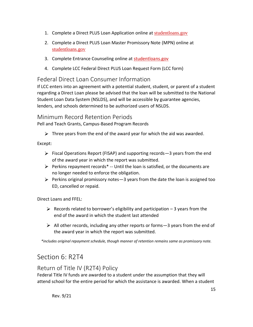- 1. Complete a Direct PLUS Loan Application online at [studentloans.gov](https://studentloans.gov/myDirectLoan/index.action)
- 2. Complete a Direct PLUS Loan Master Promissory Note (MPN) online at [studentloans.gov](https://studentloans.gov/myDirectLoan/index.action)
- 3. Complete Entrance Counseling online at [studentloans.gov](https://studentloans.gov/myDirectLoan/index.action)
- 4. Complete LCC Federal Direct PLUS Loan Request Form (LCC form)

#### Federal Direct Loan Consumer Information

If LCC enters into an agreement with a potential student, student, or parent of a student regarding a Direct Loan please be advised that the loan will be submitted to the National Student Loan Data System (NSLDS), and will be accessible by guarantee agencies, lenders, and schools determined to be authorized users of NSLDS.

#### Minimum Record Retention Periods

Pell and Teach Grants, Campus-Based Program Records

 $\triangleright$  Three years from the end of the award year for which the aid was awarded.

Except:

- $\triangleright$  Fiscal Operations Report (FISAP) and supporting records—3 years from the end of the award year in which the report was submitted.
- $\triangleright$  Perkins repayment records<sup>\*</sup> -- Until the loan is satisfied, or the documents are no longer needed to enforce the obligation.
- $\triangleright$  Perkins original promissory notes -3 years from the date the loan is assigned too ED, cancelled or repaid.

Direct Loans and FFEL:

- $\triangleright$  Records related to borrower's eligibility and participation 3 years from the end of the award in which the student last attended
- $\triangleright$  All other records, including any other reports or forms 3 years from the end of the award year in which the report was submitted.

*\*includes original repayment schedule, though manner of retention remains same as promissory note.*

# Section 6: R2T4

# Return of Title IV (R2T4) Policy

Federal Title IV funds are awarded to a student under the assumption that they will attend school for the entire period for which the assistance is awarded. When a student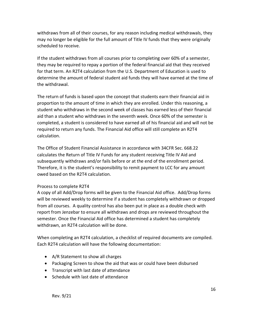withdraws from all of their courses, for any reason including medical withdrawals, they may no longer be eligible for the full amount of Title IV funds that they were originally scheduled to receive.

If the student withdraws from all courses prior to completing over 60% of a semester, they may be required to repay a portion of the federal financial aid that they received for that term. An R2T4 calculation from the U.S. Department of Education is used to determine the amount of federal student aid funds they will have earned at the time of the withdrawal.

The return of funds is based upon the concept that students earn their financial aid in proportion to the amount of time in which they are enrolled. Under this reasoning, a student who withdraws in the second week of classes has earned less of their financial aid than a student who withdraws in the seventh week. Once 60% of the semester is completed, a student is considered to have earned all of his financial aid and will not be required to return any funds. The Financial Aid office will still complete an R2T4 calculation.

The Office of Student Financial Assistance in accordance with 34CFR Sec. 668.22 calculates the Return of Title IV Funds for any student receiving Title IV Aid and subsequently withdraws and/or fails before or at the end of the enrollment period. Therefore, it is the student's responsibility to remit payment to LCC for any amount owed based on the R2T4 calculation.

#### Process to complete R2T4

A copy of all Add/Drop forms will be given to the Financial Aid office. Add/Drop forms will be reviewed weekly to determine if a student has completely withdrawn or dropped from all courses. A quality control has also been put in place as a double check with report from Jenzebar to ensure all withdraws and drops are reviewed throughout the semester. Once the Financial Aid office has determined a student has completely withdrawn, an R2T4 calculation will be done.

When completing an R2T4 calculation, a checklist of required documents are compiled. Each R2T4 calculation will have the following documentation:

- A/R Statement to show all charges
- Packaging Screen to show the aid that was or could have been disbursed
- Transcript with last date of attendance
- Schedule with last date of attendance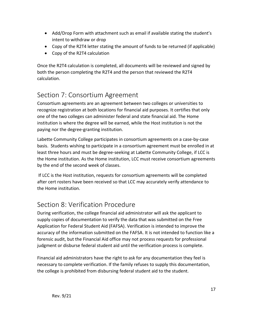- Add/Drop Form with attachment such as email if available stating the student's intent to withdraw or drop
- Copy of the R2T4 letter stating the amount of funds to be returned (if applicable)
- Copy of the R2T4 calculation

Once the R2T4 calculation is completed, all documents will be reviewed and signed by both the person completing the R2T4 and the person that reviewed the R2T4 calculation.

# Section 7: Consortium Agreement

Consortium agreements are an agreement between two colleges or universities to recognize registration at both locations for financial aid purposes. It certifies that only one of the two colleges can administer federal and state financial aid. The Home institution is where the degree will be earned, while the Host institution is not the paying nor the degree-granting institution.

Labette Community College participates in consortium agreements on a case-by-case basis. Students wishing to participate in a consortium agreement must be enrolled in at least three hours and must be degree-seeking at Labette Community College, if LCC is the Home institution. As the Home institution, LCC must receive consortium agreements by the end of the second week of classes.

If LCC is the Host institution, requests for consortium agreements will be completed after cert rosters have been received so that LCC may accurately verify attendance to the Home institution.

# Section 8: Verification Procedure

During verification, the college financial aid administrator will ask the applicant to supply copies of documentation to verify the data that was submitted on the [Free](http://www.finaid.org/fafsa/fafsa.phtml)  [Application for Federal Student Aid \(FAFSA\).](http://www.finaid.org/fafsa/fafsa.phtml) Verification is intended to improve the accuracy of the information submitted on the FAFSA. It is not intended to function like a forensic audit, but the Financial Aid office may not process requests for professional judgment or disburse federal student aid until the verification process is complete.

Financial aid administrators have the right to ask for any documentation they feel is necessary to complete verification. If the family refuses to supply this documentation, the college is prohibited from disbursing federal student aid to the student.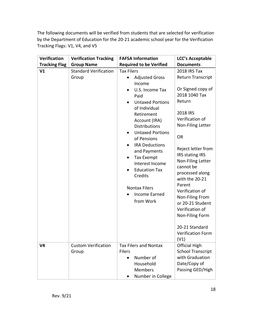The following documents will be verified from students that are selected for verification by the Department of Education for the 20-21 academic school year for the Verification Tracking Flags: V1, V4, and V5

| <b>Verification</b>              | <b>Verification Tracking</b>                                        | <b>FAFSA Information</b>                                                                                                                                                                                                                                                                                                                                                                                                                                         | <b>LCC's Acceptable</b>                                                                                                                                                                                                                                                                                                                                                                                                                                                  |
|----------------------------------|---------------------------------------------------------------------|------------------------------------------------------------------------------------------------------------------------------------------------------------------------------------------------------------------------------------------------------------------------------------------------------------------------------------------------------------------------------------------------------------------------------------------------------------------|--------------------------------------------------------------------------------------------------------------------------------------------------------------------------------------------------------------------------------------------------------------------------------------------------------------------------------------------------------------------------------------------------------------------------------------------------------------------------|
| <b>Tracking Flag</b>             | <b>Group Name</b>                                                   | <b>Required to be Verified</b>                                                                                                                                                                                                                                                                                                                                                                                                                                   | <b>Documents</b>                                                                                                                                                                                                                                                                                                                                                                                                                                                         |
| V <sub>1</sub><br>V <sub>4</sub> | <b>Standard Verification</b><br>Group<br><b>Custom Verification</b> | <b>Tax Filers</b><br><b>Adjusted Gross</b><br>$\bullet$<br>Income<br>U.S. Income Tax<br>$\bullet$<br>Paid<br><b>Untaxed Portions</b><br>of Individual<br>Retirement<br>Account (IRA)<br><b>Distributions</b><br><b>Untaxed Portions</b><br>of Pensions<br><b>IRA Deductions</b><br>and Payments<br><b>Tax Exempt</b><br>Interest Income<br><b>Education Tax</b><br>Credits<br><b>Nontax Filers</b><br>Income Earned<br>from Work<br><b>Tax Filers and Nontax</b> | <b>2018 IRS Tax</b><br><b>Return Transcript</b><br>Or Signed copy of<br>2018 1040 Tax<br>Return<br>2018 IRS<br>Verification of<br>Non-Filing Letter<br><b>OR</b><br>Reject letter from<br>IRS stating IRS<br>Non-Filing Letter<br>cannot be<br>processed along<br>with the 20-21<br>Parent<br>Verification of<br>Non-Filing From<br>or 20-21 Student<br>Verification of<br>Non-Filing Form<br>20-21 Standard<br><b>Verification Form</b><br>(V1)<br><b>Official High</b> |
|                                  | Group                                                               | <b>Filers</b><br>Number of<br>$\bullet$<br>Household<br><b>Members</b><br>Number in College                                                                                                                                                                                                                                                                                                                                                                      | <b>School Transcript</b><br>with Graduation<br>Date/Copy of<br>Passing GED/High                                                                                                                                                                                                                                                                                                                                                                                          |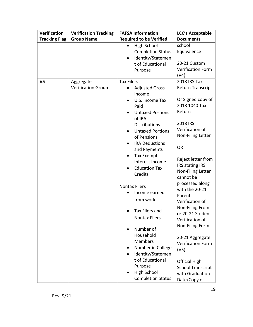| <b>Verification</b>  | <b>Verification Tracking</b>           | <b>FAFSA Information</b>                                                                                                                                                                                                                                                                                                                                                                                                                                                                                                                                                                | <b>LCC's Acceptable</b>                                                                                                                                                                                                                                                                                                                                                                                                                                                                                                           |
|----------------------|----------------------------------------|-----------------------------------------------------------------------------------------------------------------------------------------------------------------------------------------------------------------------------------------------------------------------------------------------------------------------------------------------------------------------------------------------------------------------------------------------------------------------------------------------------------------------------------------------------------------------------------------|-----------------------------------------------------------------------------------------------------------------------------------------------------------------------------------------------------------------------------------------------------------------------------------------------------------------------------------------------------------------------------------------------------------------------------------------------------------------------------------------------------------------------------------|
| <b>Tracking Flag</b> | <b>Group Name</b>                      | <b>Required to be Verified</b>                                                                                                                                                                                                                                                                                                                                                                                                                                                                                                                                                          | <b>Documents</b>                                                                                                                                                                                                                                                                                                                                                                                                                                                                                                                  |
|                      |                                        | High School<br><b>Completion Status</b><br>Identity/Statemen<br>t of Educational<br>Purpose                                                                                                                                                                                                                                                                                                                                                                                                                                                                                             | school<br>Equivalence<br>20-21 Custom<br><b>Verification Form</b><br>(V4)                                                                                                                                                                                                                                                                                                                                                                                                                                                         |
| V5                   | Aggregate<br><b>Verification Group</b> | <b>Tax Filers</b><br><b>Adjusted Gross</b><br>$\bullet$<br>Income<br>U.S. Income Tax<br>Paid<br><b>Untaxed Portions</b><br>of IRA<br><b>Distributions</b><br><b>Untaxed Portions</b><br>of Pensions<br><b>IRA Deductions</b><br>and Payments<br><b>Tax Exempt</b><br>Interest Income<br><b>Education Tax</b><br>Credits<br><b>Nontax Filers</b><br>Income earned<br>from work<br>Tax Filers and<br><b>Nontax Filers</b><br>Number of<br>Household<br>Members<br>Number in College<br>Identity/Statemen<br>t of Educational<br>Purpose<br><b>High School</b><br><b>Completion Status</b> | 2018 IRS Tax<br><b>Return Transcript</b><br>Or Signed copy of<br>2018 1040 Tax<br>Return<br>2018 IRS<br>Verification of<br>Non-Filing Letter<br><b>OR</b><br>Reject letter from<br>IRS stating IRS<br>Non-Filing Letter<br>cannot be<br>processed along<br>with the 20-21<br>Parent<br>Verification of<br>Non-Filing From<br>or 20-21 Student<br>Verification of<br>Non-Filing Form<br>20-21 Aggregate<br><b>Verification Form</b><br>(V5)<br><b>Official High</b><br><b>School Transcript</b><br>with Graduation<br>Date/Copy of |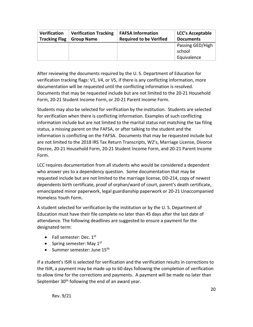| <b>Verification</b>  | <b>Verification Tracking</b> | <b>FAFSA Information</b>       | <b>LCC's Acceptable</b>                   |
|----------------------|------------------------------|--------------------------------|-------------------------------------------|
| <b>Tracking Flag</b> | <b>Group Name</b>            | <b>Required to be Verified</b> | <b>Documents</b>                          |
|                      |                              |                                | Passing GED/High<br>school<br>Equivalence |

After reviewing the documents required by the U. S. Department of Education for verification tracking flags: V1, V4, or V5, if there is any conflicting information, more documentation will be requested until the conflicting information is resolved. Documents that may be requested include but are not limited to the 20-21 Household Form, 20-21 Student Income Form, or 20-21 Parent Income Form.

Students may also be selected for verification by the institution. Students are selected for verification when there is conflicting information. Examples of such conflicting information include but are not limited to the marital status not matching the tax filing status, a missing parent on the FAFSA, or after talking to the student and the information is conflicting on the FAFSA. Documents that may be requested include but are not limited to the 2018 IRS Tax Return Transcripts, W2's, Marriage License, Divorce Decree, 20-21 Household Form, 20-21 Student Income Form, and 20-21 Parent Income Form.

LCC requires documentation from all students who would be considered a dependent who answer yes to a dependency question. Some documentation that may be requested include but are not limited to the marriage license, DD-214, copy of newest dependents birth certificate, proof of orphan/ward of court, parent's death certificate, emancipated minor paperwork, legal guardianship paperwork or 20-21 Unaccompanied Homeless Youth Form.

A student selected for verification by the institution or by the U. S. Department of Education must have their file complete no later than 45 days after the last date of attendance. The following deadlines are suggested to ensure a payment for the designated term:

- Fall semester: Dec.  $1<sup>st</sup>$
- Spring semester: May  $1<sup>st</sup>$
- Summer semester: June  $15<sup>th</sup>$

If a student's ISIR is selected for verification and the verification results in corrections to the ISIR, a payment may be made up to 60 days following the completion of verification to allow time for the corrections and payments. A payment will be made no later than September  $30<sup>th</sup>$  following the end of an award year.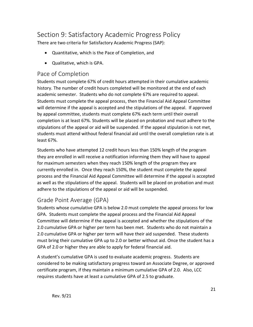# Section 9: Satisfactory Academic Progress Policy

There are two criteria for Satisfactory Academic Progress (SAP):

- Quantitative, which is the Pace of Completion, and
- Qualitative, which is GPA.

#### Pace of Completion

Students must complete 67% of credit hours attempted in their cumulative academic history. The number of credit hours completed will be monitored at the end of each academic semester. Students who do not complete 67% are required to appeal. Students must complete the appeal process, then the Financial Aid Appeal Committee will determine if the appeal is accepted and the stipulations of the appeal. If approved by appeal committee, students must complete 67% each term until their overall completion is at least 67%. Students will be placed on probation and must adhere to the stipulations of the appeal or aid will be suspended. If the appeal stipulation is not met, students must attend without federal financial aid until the overall completion rate is at least 67%.

Students who have attempted 12 credit hours less than 150% length of the program they are enrolled in will receive a notification informing them they will have to appeal for maximum semesters when they reach 150% length of the program they are currently enrolled in. Once they reach 150%, the student must complete the appeal process and the Financial Aid Appeal Committee will determine if the appeal is accepted as well as the stipulations of the appeal. Students will be placed on probation and must adhere to the stipulations of the appeal or aid will be suspended.

# Grade Point Average (GPA)

Students whose cumulative GPA is below 2.0 must complete the appeal process for low GPA. Students must complete the appeal process and the Financial Aid Appeal Committee will determine if the appeal is accepted and whether the stipulations of the 2.0 cumulative GPA or higher per term has been met. Students who do not maintain a 2.0 cumulative GPA or higher per term will have their aid suspended. These students must bring their cumulative GPA up to 2.0 or better without aid. Once the student has a GPA of 2.0 or higher they are able to apply for federal financial aid.

A student's cumulative GPA is used to evaluate academic progress. Students are considered to be making satisfactory progress toward an Associate Degree, or approved certificate program, if they maintain a minimum cumulative GPA of 2.0. Also, LCC requires students have at least a cumulative GPA of 2.5 to graduate.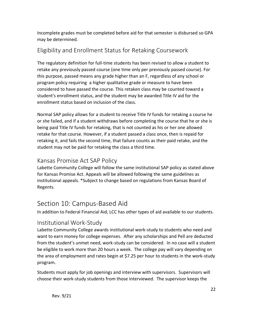Incomplete grades must be completed before aid for that semester is disbursed so GPA may be determined.

# Eligibility and Enrollment Status for Retaking Coursework

The regulatory definition for full-time students has been revised to allow a student to retake any previously passed course (one time only per previously passed course). For this purpose, passed means any grade higher than an F, regardless of any school or program policy requiring a higher qualitative grade or measure to have been considered to have passed the course. This retaken class may be counted toward a student's enrollment status, and the student may be awarded Title IV aid for the enrollment status based on inclusion of the class.

Normal SAP policy allows for a student to receive Title IV funds for retaking a course he or she failed, and if a student withdraws before completing the course that he or she is being paid Title IV funds for retaking, that is not counted as his or her one allowed retake for that course. However, if a student passed a class once, then is repaid for retaking it, and fails the second time, that failure counts as their paid retake, and the student may not be paid for retaking the class a third time.

# Kansas Promise Act SAP Policy

Labette Community College will follow the same institutional SAP policy as stated above for Kansas Promise Act. Appeals will be allowed following the same guidelines as institutional appeals. \*Subject to change based on regulations from Kansas Board of Regents.

# Section 10: Campus-Based Aid

In addition to Federal Financial Aid, LCC has other types of aid available to our students.

## Institutional Work-Study

Labette Community College awards institutional work-study to students who need and want to earn money for college expenses. After any scholarships and Pell are deducted from the student's unmet need, work-study can be considered. In no case will a student be eligible to work more than 20 hours a week. The college pay will vary depending on the area of employment and rates begin at \$7.25 per hour to students in the work-study program.

Students must apply for job openings and interview with supervisors. Supervisors will choose their work-study students from those interviewed. The supervisor keeps the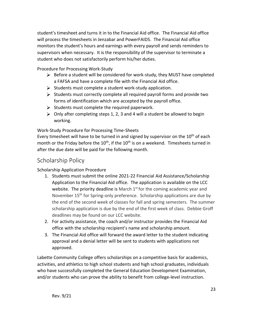student's timesheet and turns it in to the Financial Aid office. The Financial Aid office will process the timesheets in Jenzabar and PowerFAIDS. The Financial Aid office monitors the student's hours and earnings with every payroll and sends reminders to supervisors when necessary. It is the responsibility of the supervisor to terminate a student who does not satisfactorily perform his/her duties.

Procedure for Processing Work-Study

- $\triangleright$  Before a student will be considered for work-study, they MUST have completed a FAFSA and have a complete file with the Financial Aid office.
- $\triangleright$  Students must complete a student work-study application.
- $\triangleright$  Students must correctly complete all required payroll forms and provide two forms of identification which are accepted by the payroll office.
- $\triangleright$  Students must complete the required paperwork.
- $\triangleright$  Only after completing steps 1, 2, 3 and 4 will a student be allowed to begin working.

Work-Study Procedure for Processing Time-Sheets

Every timesheet will have to be turned in and signed by supervisor on the  $10<sup>th</sup>$  of each month or the Friday before the  $10<sup>th</sup>$ , if the  $10<sup>th</sup>$  is on a weekend. Timesheets turned in after the due date will be paid for the following month.

# Scholarship Policy

Scholarship Application Procedure

- 1. Students must submit the online 2021-22 Financial Aid Assistance/Scholarship Application to the Financial Aid office. The application is available on the LCC website. The priority deadline is March  $1<sup>st</sup>$  for the coming academic year and November 15<sup>th</sup> for Spring-only preference. Scholarship applications are due by the end of the second week of classes for fall and spring semesters. The summer scholarship application is due by the end of the first week of class. Debbie Groff deadlines may be found on our LCC website.
- 2. For activity assistance, the coach and/or instructor provides the Financial Aid office with the scholarship recipient's name and scholarship amount.
- 3. The Financial Aid office will forward the award letter to the student indicating approval and a denial letter will be sent to students with applications not approved.

Labette Community College offers scholarships on a competitive basis for academics, activities, and athletics to high school students and high school graduates, individuals who have successfully completed the General Education Development Examination, and/or students who can prove the ability to benefit from college-level instruction.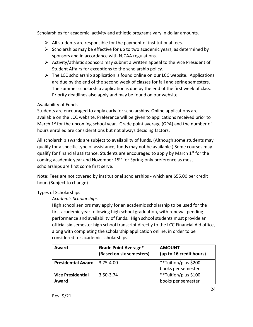Scholarships for academic, activity and athletic programs vary in dollar amounts.

- $\triangleright$  All students are responsible for the payment of institutional fees.
- $\triangleright$  Scholarships may be effective for up to two academic years, as determined by sponsors and in accordance with NJCAA regulations.
- $\triangleright$  Activity/athletic sponsors may submit a written appeal to the Vice President of Student Affairs for exceptions to the scholarship policy.
- $\triangleright$  The LCC scholarship application is found online on our LCC website. Applications are due by the end of the second week of classes for fall and spring semesters. The summer scholarship application is due by the end of the first week of class. Priority deadlines also apply and may be found on our website.

#### Availability of Funds

Students are encouraged to apply early for scholarships. Online applications are available on the LCC website. Preference will be given to applications received prior to March 1<sup>st</sup> for the upcoming school year. Grade point average (GPA) and the number of hours enrolled are considerations but not always deciding factors.

All scholarship awards are subject to availability of funds. (Although some students may qualify for a specific type of assistance, funds may not be available.) Some courses may qualify for financial assistance. Students are encouraged to apply by March  $1^{st}$  for the coming academic year and November 15<sup>th</sup> for Spring-only preference as most scholarships are first come first serve.

Note: Fees are not covered by institutional scholarships - which are \$55.00 per credit hour. (Subject to change)

#### Types of Scholarships

#### *Academic Scholarships*

High school seniors may apply for an academic scholarship to be used for the first academic year following high school graduation, with renewal pending performance and availability of funds. High school students must provide an official six-semester high school transcript directly to the LCC Financial Aid office, along with completing the scholarship application online, in order to be considered for academic scholarships.

| Award                     | <b>Grade Point Average*</b><br>(Based on six semesters) | <b>AMOUNT</b><br>(up to 16 credit hours) |
|---------------------------|---------------------------------------------------------|------------------------------------------|
| <b>Presidential Award</b> | 3.75-4.00                                               | **Tuition/plus \$200                     |
|                           |                                                         | books per semester                       |
| <b>Vice Presidential</b>  | 3.50-3.74                                               | **Tuition/plus \$100                     |
| Award                     |                                                         | books per semester                       |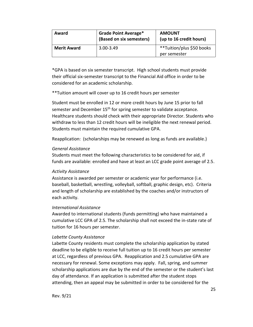| Award              | <b>Grade Point Average*</b><br>(Based on six semesters) | <b>AMOUNT</b><br>(up to 16 credit hours)  |
|--------------------|---------------------------------------------------------|-------------------------------------------|
| <b>Merit Award</b> | $3.00 - 3.49$                                           | **Tuition/plus \$50 books<br>per semester |

\*GPA is based on six semester transcript. High school students must provide their official six-semester transcript to the Financial Aid office in order to be considered for an academic scholarship.

\*\*Tuition amount will cover up to 16 credit hours per semester

Student must be enrolled in 12 or more credit hours by June 15 prior to fall semester and December 15<sup>th</sup> for spring semester to validate acceptance. Healthcare students should check with their appropriate Director. Students who withdraw to less than 12 credit hours will be ineligible the next renewal period. Students must maintain the required cumulative GPA.

Reapplication: (scholarships may be renewed as long as funds are available.)

#### *General Assistance*

Students must meet the following characteristics to be considered for aid, if funds are available: enrolled and have at least an LCC grade point average of 2.5.

#### *Activity Assistance*

Assistance is awarded per semester or academic year for performance (i.e. baseball, basketball, wrestling, volleyball, softball, graphic design, etc). Criteria and length of scholarship are established by the coaches and/or instructors of each activity.

#### *International Assistance*

Awarded to international students (funds permitting) who have maintained a cumulative LCC GPA of 2.5. The scholarship shall not exceed the in-state rate of tuition for 16 hours per semester.

#### *Labette County Assistance*

Labette County residents must complete the scholarship application by stated deadline to be eligible to receive full tuition up to 16 credit hours per semester at LCC, regardless of previous GPA. Reapplication and 2.5 cumulative GPA are necessary for renewal. Some exceptions may apply. Fall, spring, and summer scholarship applications are due by the end of the semester or the student's last day of attendance. If an application is submitted after the student stops attending, then an appeal may be submitted in order to be considered for the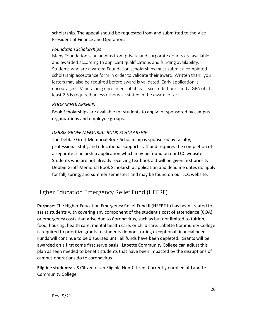scholarship. The appeal should be requested from and submitted to the Vice President of Finance and Operations.

#### *Foundation Scholarships*

Many Foundation scholarships from private and corporate donors are available and awarded according to applicant qualifications and funding availability. Students who are awarded Foundation scholarships must submit a completed scholarship acceptance form in order to validate their award. Written thank you letters may also be required before award is validated. Early application is encouraged. Maintaining enrollment of at least six credit hours and a GPA of at least 2.5 is required unless otherwise stated in the award criteria.

#### *BOOK SCHOLARSHIPS*

Book Scholarships are available for students to apply for sponsored by campus organizations and employee groups.

#### *DEBBIE GROFF MEMORIAL BOOK SCHOLARSHIP*

The Debbie Groff Memorial Book Scholarship is sponsored by faculty, professional staff, and educational support staff and requires the completion of a separate scholarship application which may be found on our LCC website. Students who are not already receiving textbook aid will be given first priority. Debbie Groff Memorial Book Scholarship application and deadline dates do apply for fall, spring, and summer semesters and may be found on our LCC website.

# Higher Education Emergency Relief Fund (HEERF)

**Purpose:** The Higher Education Emergency Relief Fund II (HEERF II) has been created to assist students with covering any component of the student's cost of attendance (COA); or emergency costs that arise due to Coronavirus, such as but not limited to tuition, food, housing, health care, mental health care, or child care. Labette Community College is required to prioritize grants to students demonstrating exceptional financial need. Funds will continue to be disbursed until all funds have been depleted. Grants will be awarded on a first come first serve basis. Labette Community College can adjust this plan as seen needed to benefit students that have been impacted by the disruptions of campus operations do to coronavirus.

**Eligible students:** US Citizen or an Eligible Non-Citizen; Currently enrolled at Labette Community College.